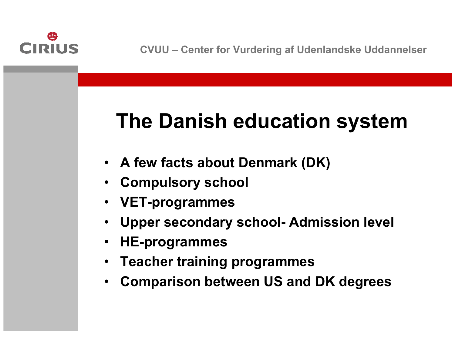

# **The Danish education system**

- **A few facts about Denmark (DK)**
- •**Compulsory school**
- **VET-programmes**
- •**Upper secondary school- Admission level**
- •**HE-programmes**
- •**Teacher training programmes**
- •**Comparison between US and DK degrees**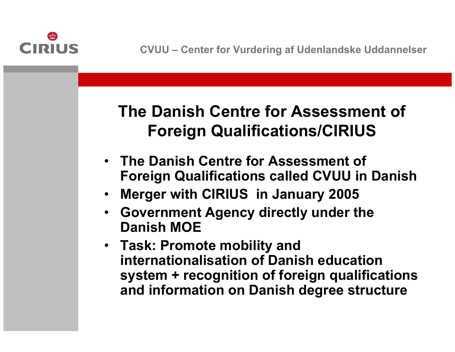

#### **The Danish Centre for Assessment of Foreign Qualifications/CIRIUS**

- **The Danish Centre for Assessment of Foreign Qualifications called CVUU in Danish**
- •**Merger with CIRIUS in January 2005**
- **Government Agency directly under the Danish MOE**
- **Task: Promote mobility and internationalisation of Danish education system + recognition of foreign qualifications and information on Danish degree structure**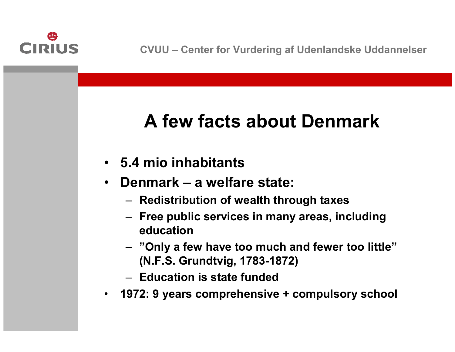

### **A few facts about Denmark**

- **5.4 mio inhabitants**
- $\bullet$  **Denmark – a welfare state:**
	- **Redistribution of wealth through taxes**
	- **Free public services in many areas, including education**
	- **"Only <sup>a</sup> few have too much and fewer too little" (N.F.S. Grundtvig, 1783-1872)**
	- **Education is state funded**
- $\bullet$ **1972: 9 years comprehensive <sup>+</sup> compulsory school**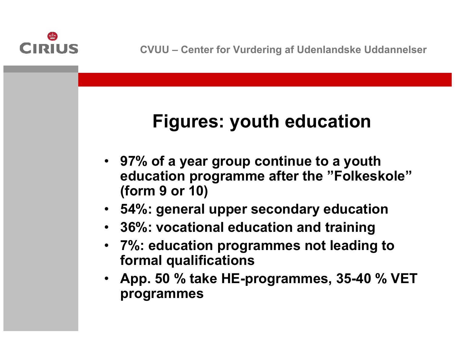

### **Figures: youth education**

- **97% of <sup>a</sup> year group continue to a youth education programme after the "Folkeskole" (form 9 or 10)**
- **54%: general upper secondary education**
- **36%: vocational education and training**
- **7%: education programmes not leading to formal qualifications**
- **App. 50 % take HE-programmes, 35-40 % VET programmes**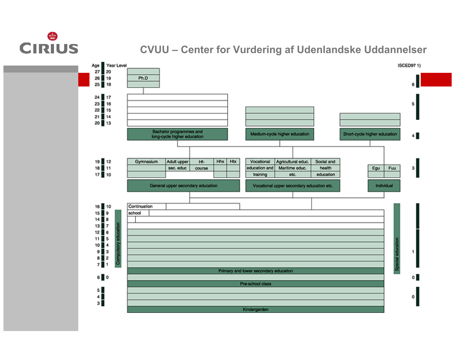# **CIRIUS**

#### **CVUU – Center for Vurdering af Udenlandske Uddannelser**

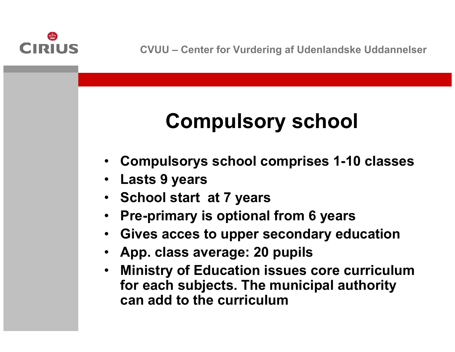

# **Compulsory school**

- •**Compulsorys school comprises 1-10 classes**
- $\bullet$ **Lasts 9 years**
- **School start at 7 years**
- •**Pre-primary is optional from 6 years**
- •**Gives acces to upper secondary education**
- •**App. class average: 20 pupils**
- $\bullet$  **Ministry of Education issues core curriculum for each subjects. The municipal authority can add to the curriculum**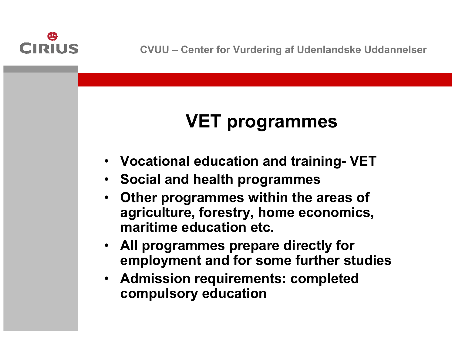

### **VET programmes**

- **Vocational education and training- VET**
- **Social and health programmes**
- $\bullet$  **Other programmes within the areas of agriculture, forestry, home economics, maritime education etc.**
- **All programmes prepare directly for employment and for some further studies**
- **Admission requirements: completed compulsory education**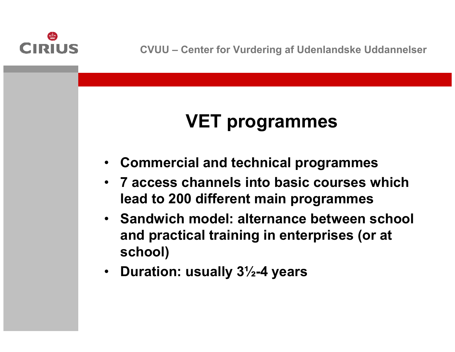

### **VET programmes**

- •**Commercial and technical programmes**
- **7 access channels into basic courses which lead to 200 different main programmes**
- **Sandwich model: alternance between school and practical training in enterprises (or at school)**
- **Duration: usually 3½-4 years**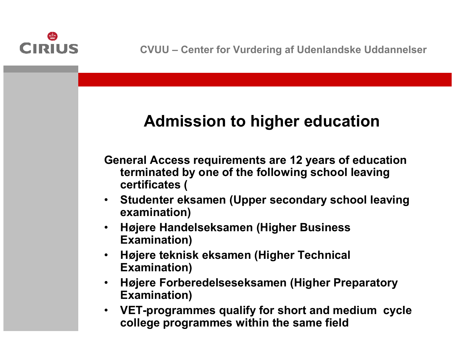

#### **Admission to higher education**

**General Access requirements are 12 years of education terminated by one of the following school leaving certificates (**

- • **Studenter eksamen (Upper secondary school leaving examination)**
- $\bullet$  **Højere Handelseksamen (Higher Business Examination)**
- $\bullet$  **Højere teknisk eksamen (Higher Technical Examination)**
- $\bullet$  **Højere Forberedelseseksamen (Higher Preparatory Examination)**
- • **VET-programmes qualify for short and medium cycle college programmes within the same field**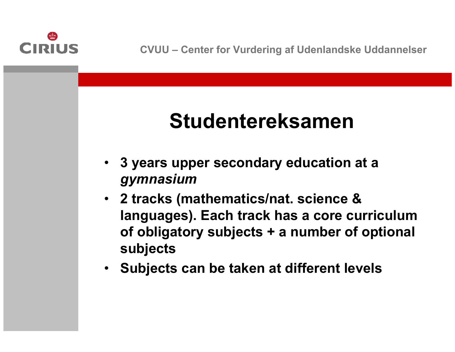

# **Studentereksamen**

- **3 years upper secondary education at a**  *gymnasium*
- **2 tracks (mathematics/nat. science & languages). Each track has a core curriculum of obligatory subjects + a number of optional subjects**
- •**Subjects can be taken at different levels**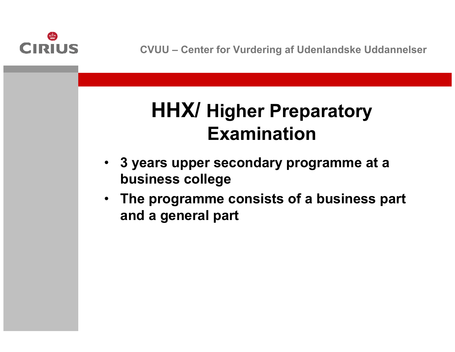

### **HHX/ Higher Preparatory Examination**

- **3 years upper secondary programme at a business college**
- **The programme consists of a business part and a general part**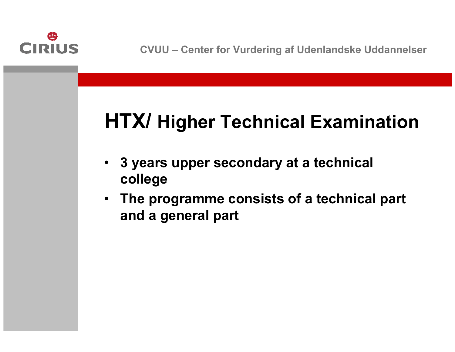

## **HTX/ Higher Technical Examination**

- • **3 years upper secondary at a technical college**
- **The programme consists of <sup>a</sup> technical part and a general part**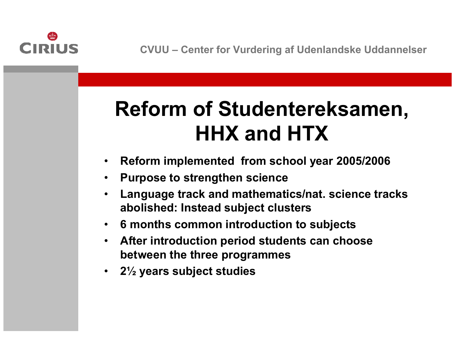

# **Reform of Studentereksamen, HHX and HTX**

- •**Reform implemented from school year 2005/2006**
- •**Purpose to strengthen science**
- • **Language track and mathematics/nat. science tracks abolished: Instead subject clusters**
- •**6 months common introduction to subjects**
- $\bullet$  **After introduction period students can choose between the three programmes**
- •**2½ years subject studies**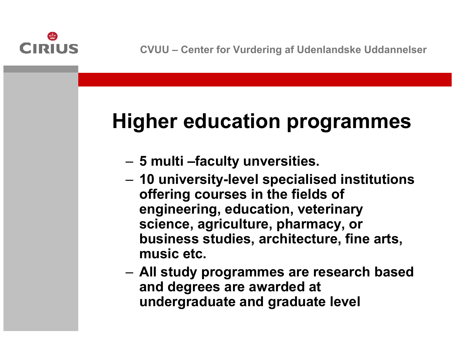

# **Higher education programmes**

- –**5 multi –faculty unversities.**
- **Links of the Common 10 university-level specialised institutions offering courses in the fields of engineering, education, veterinary science, agriculture, pharmacy, or business studies, architecture, fine arts, music etc.**
- and the state of the **All study programmes are research based and degrees are awarded at undergraduate and graduate level**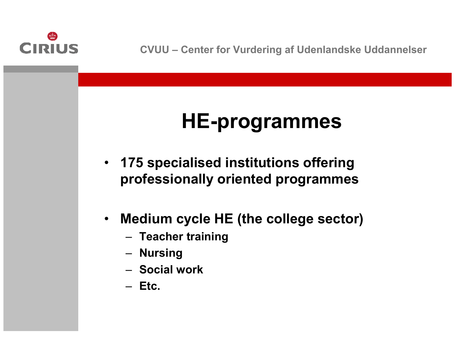

# **HE-programmes**

- **175 specialised institutions offering professionally oriented programmes**
- $\bullet$  **Medium cycle HE (the college sector)**
	- **Teacher training**
	- **Nursing**
	- **Social work**
	- **Etc.**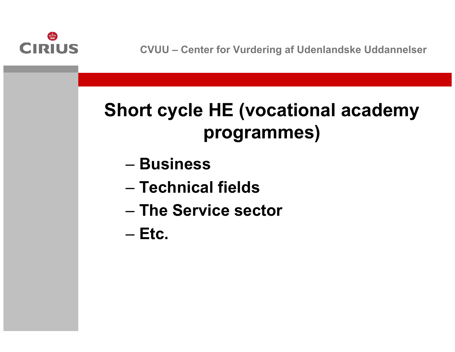

### **Short cycle HE (vocational academy programmes)**

- **Business**
- **Technical fields**
- **The Service sector**
- **Etc.**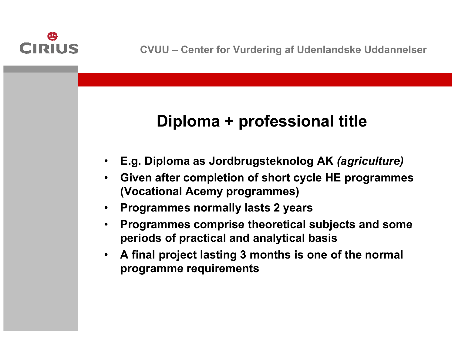

#### **Diploma + professional title**

- •**E.g. Diploma as Jordbrugsteknolog AK** *(agriculture)*
- $\bullet$  **Given after completion of short cycle HE programmes (Vocational Acemy programmes)**
- •**Programmes normally lasts 2 years**
- • **Programmes comprise theoretical subjects and some periods of practical and analytical basis**
- • **A final project lasting 3 months is one of the normal programme requirements**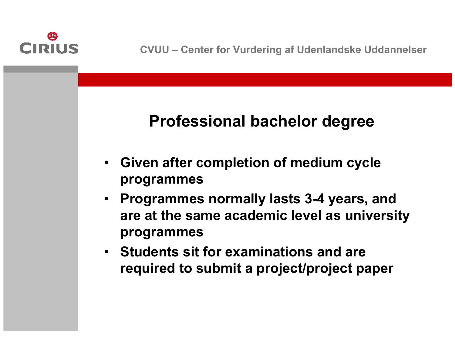

#### **Professional bachelor degree**

- **Given after completion of medium cycle programmes**
- **Programmes normally lasts 3-4 years, and are at the same academic level as university programmes**
- **Students sit for examinations and are required to submit <sup>a</sup> project/project paper**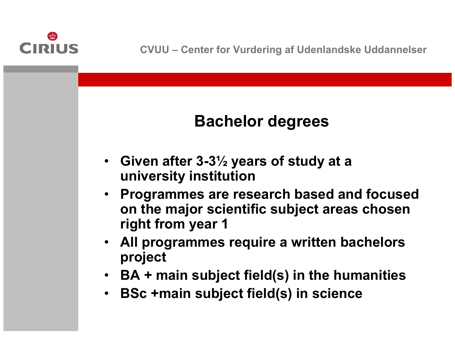

#### **Bachelor degrees**

- **Given after 3-3½ years of study at a university institution**
- **Programmes are research based and focused on the major scientific subject areas chosen right from year 1**
- **All programmes require <sup>a</sup> written bachelors project**
- **BA + main subject field(s) in the humanities**
- •**BSc +main subject field(s) in science**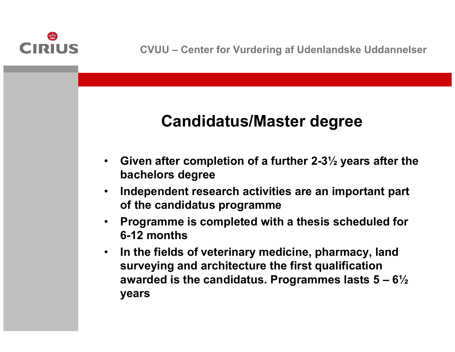

#### **Candidatus/Master degree**

- • **Given after completion of <sup>a</sup> further 2-3½ years after the bachelors degree**
- $\bullet$  **Independent research activities are an important part of the candidatus programme**
- $\bullet$  **Programme is completed with <sup>a</sup> thesis scheduled for 6-12 months**
- $\bullet$  **In the fields of veterinary medicine, pharmacy, land surveying and architecture the first qualification awarded is the candidatus. Programmes lasts 5 – 6½ years**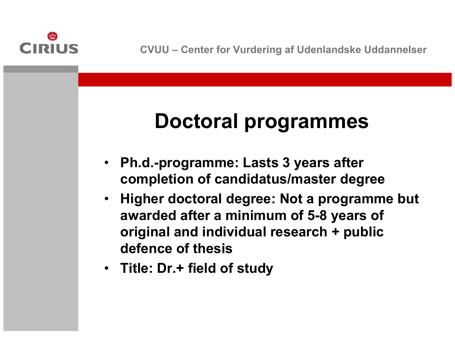

# **Doctoral programmes**

- **Ph.d.-programme: Lasts 3 years after completion of candidatus/master degree**
- **Higher doctoral degree: Not a programme but awarded after a minimum of 5-8 years of original and individual research + public defence of thesis**
- **Title: Dr.+ field of study**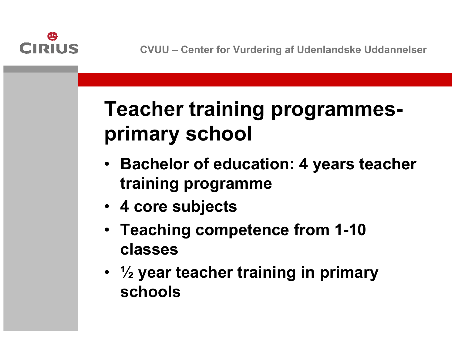

# **Teacher training programmesprimary school**

- **Bachelor of education: 4 years teacher training programme**
- **4 core subjects**
- **Teaching competence from 1-10 classes**
- **½ year teacher training in primary schools**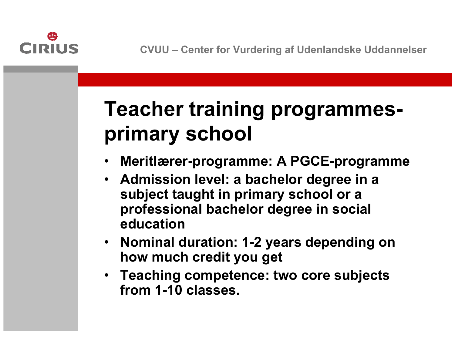

# **Teacher training programmesprimary school**

- •**Meritlærer-programme: A PGCE-programme**
- **Admission level: a bachelor degree in a subject taught in primary school or a professional bachelor degree in social education**
- **Nominal duration: 1-2 years depending on how much credit you get**
- **Teaching competence: two core subjects from 1-10 classes.**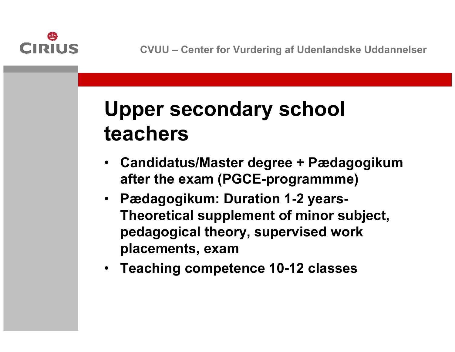

# **Upper secondary school teachers**

- **Candidatus/Master degree + Pædagogikum after the exam (PGCE-programmme)**
- **Pædagogikum: Duration 1-2 years-Theoretical supplement of minor subject, pedagogical theory, supervised work placements, exam**
- **Teaching competence 10-12 classes**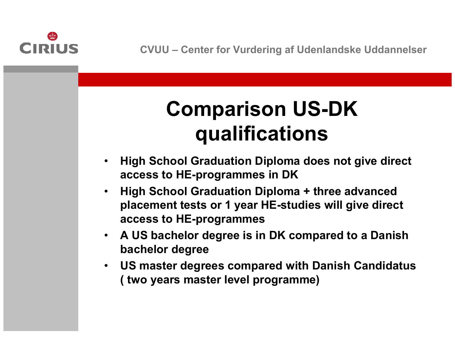

# **Comparison US-DK qualifications**

- • **High School Graduation Diploma does not give direct access to HE-programmes in DK**
- • **High School Graduation Diploma + three advanced placement tests or 1 year HE-studies will give direct access to HE-programmes**
- • **A US bachelor degree is in DK compared to a Danish bachelor degree**
- • **US master degrees compared with Danish Candidatus ( two years master level programme)**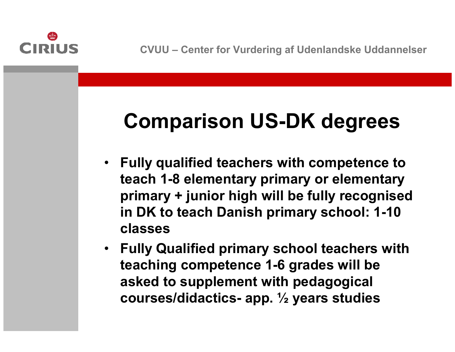

# **Comparison US-DK degrees**

- **Fully qualified teachers with competence to teach 1-8 elementary primary or elementary primary + junior high will be fully recognised in DK to teach Danish primary school: 1-10 classes**
- **Fully Qualified primary school teachers with teaching competence 1-6 grades will be asked to supplement with pedagogical courses/didactics- app. ½ years studies**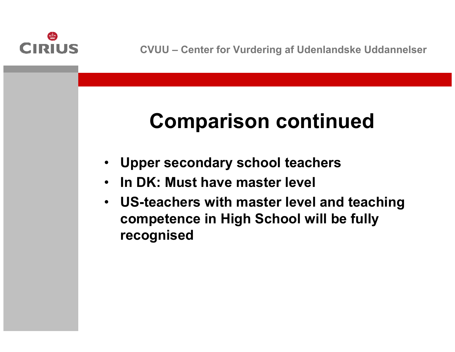

# **Comparison continued**

- •**Upper secondary school teachers**
- $\bullet$ **In DK: Must have master level**
- **US-teachers with master level and teaching competence in High School will be fully recognised**